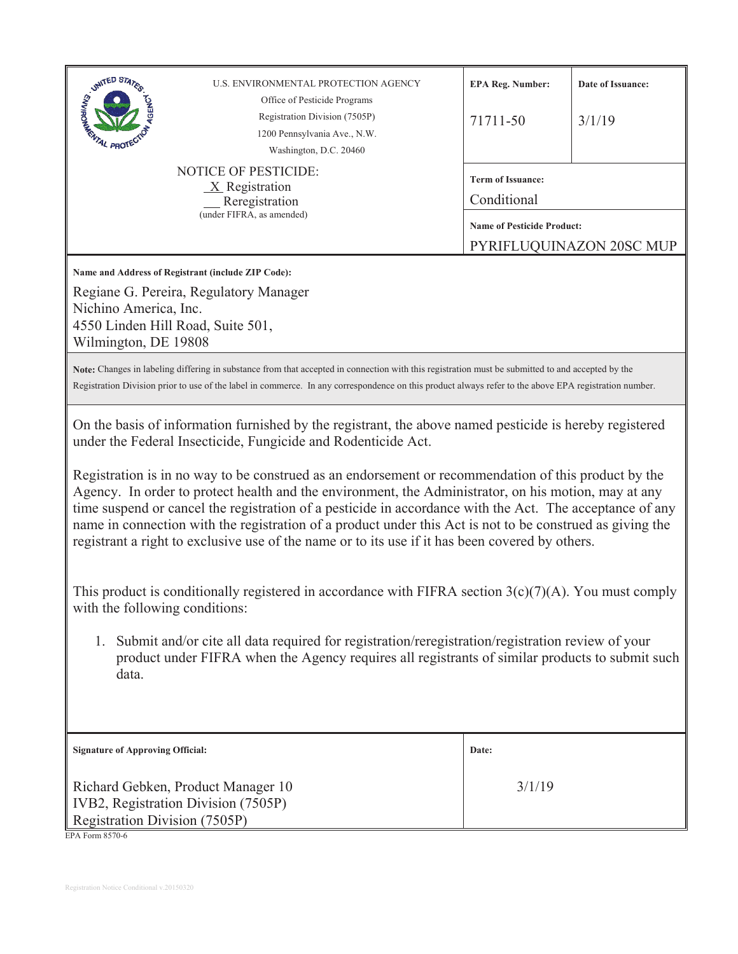| UNITED STATES<br>U.S. ENVIRONMENTAL PROTECTION AGENCY<br>Office of Pesticide Programs<br>Registration Division (7505P)<br>1200 Pennsylvania Ave., N.W.<br><sup>I</sup> L PROT<br>Washington, D.C. 20460<br><b>NOTICE OF PESTICIDE:</b><br>$X$ Registration<br>Reregistration<br>(under FIFRA, as amended)<br>Name and Address of Registrant (include ZIP Code):<br>Regiane G. Pereira, Regulatory Manager<br>Nichino America, Inc.<br>4550 Linden Hill Road, Suite 501,<br>Wilmington, DE 19808<br>Note: Changes in labeling differing in substance from that accepted in connection with this registration must be submitted to and accepted by the<br>Registration Division prior to use of the label in commerce. In any correspondence on this product always refer to the above EPA registration number.<br>On the basis of information furnished by the registrant, the above named pesticide is hereby registered<br>under the Federal Insecticide, Fungicide and Rodenticide Act.<br>Registration is in no way to be construed as an endorsement or recommendation of this product by the<br>Agency. In order to protect health and the environment, the Administrator, on his motion, may at any<br>time suspend or cancel the registration of a pesticide in accordance with the Act. The acceptance of any<br>name in connection with the registration of a product under this Act is not to be construed as giving the<br>registrant a right to exclusive use of the name or to its use if it has been covered by others.<br>This product is conditionally registered in accordance with FIFRA section $3(c)(7)(A)$ . You must comply<br>with the following conditions:<br>1. Submit and/or cite all data required for registration/reregistration/registration review of your<br>product under FIFRA when the Agency requires all registrants of similar products to submit such<br>data. | <b>EPA Reg. Number:</b><br>71711-50<br><b>Term of Issuance:</b><br>Conditional<br><b>Name of Pesticide Product:</b> | Date of Issuance:<br>3/1/19<br>PYRIFLUQUINAZON 20SC MUP |
|--------------------------------------------------------------------------------------------------------------------------------------------------------------------------------------------------------------------------------------------------------------------------------------------------------------------------------------------------------------------------------------------------------------------------------------------------------------------------------------------------------------------------------------------------------------------------------------------------------------------------------------------------------------------------------------------------------------------------------------------------------------------------------------------------------------------------------------------------------------------------------------------------------------------------------------------------------------------------------------------------------------------------------------------------------------------------------------------------------------------------------------------------------------------------------------------------------------------------------------------------------------------------------------------------------------------------------------------------------------------------------------------------------------------------------------------------------------------------------------------------------------------------------------------------------------------------------------------------------------------------------------------------------------------------------------------------------------------------------------------------------------------------------------------------------------------------------------------------------------------------------------------------------|---------------------------------------------------------------------------------------------------------------------|---------------------------------------------------------|
|                                                                                                                                                                                                                                                                                                                                                                                                                                                                                                                                                                                                                                                                                                                                                                                                                                                                                                                                                                                                                                                                                                                                                                                                                                                                                                                                                                                                                                                                                                                                                                                                                                                                                                                                                                                                                                                                                                        |                                                                                                                     |                                                         |
|                                                                                                                                                                                                                                                                                                                                                                                                                                                                                                                                                                                                                                                                                                                                                                                                                                                                                                                                                                                                                                                                                                                                                                                                                                                                                                                                                                                                                                                                                                                                                                                                                                                                                                                                                                                                                                                                                                        |                                                                                                                     |                                                         |
|                                                                                                                                                                                                                                                                                                                                                                                                                                                                                                                                                                                                                                                                                                                                                                                                                                                                                                                                                                                                                                                                                                                                                                                                                                                                                                                                                                                                                                                                                                                                                                                                                                                                                                                                                                                                                                                                                                        |                                                                                                                     |                                                         |
|                                                                                                                                                                                                                                                                                                                                                                                                                                                                                                                                                                                                                                                                                                                                                                                                                                                                                                                                                                                                                                                                                                                                                                                                                                                                                                                                                                                                                                                                                                                                                                                                                                                                                                                                                                                                                                                                                                        |                                                                                                                     |                                                         |
|                                                                                                                                                                                                                                                                                                                                                                                                                                                                                                                                                                                                                                                                                                                                                                                                                                                                                                                                                                                                                                                                                                                                                                                                                                                                                                                                                                                                                                                                                                                                                                                                                                                                                                                                                                                                                                                                                                        |                                                                                                                     |                                                         |
|                                                                                                                                                                                                                                                                                                                                                                                                                                                                                                                                                                                                                                                                                                                                                                                                                                                                                                                                                                                                                                                                                                                                                                                                                                                                                                                                                                                                                                                                                                                                                                                                                                                                                                                                                                                                                                                                                                        |                                                                                                                     |                                                         |
|                                                                                                                                                                                                                                                                                                                                                                                                                                                                                                                                                                                                                                                                                                                                                                                                                                                                                                                                                                                                                                                                                                                                                                                                                                                                                                                                                                                                                                                                                                                                                                                                                                                                                                                                                                                                                                                                                                        |                                                                                                                     |                                                         |
|                                                                                                                                                                                                                                                                                                                                                                                                                                                                                                                                                                                                                                                                                                                                                                                                                                                                                                                                                                                                                                                                                                                                                                                                                                                                                                                                                                                                                                                                                                                                                                                                                                                                                                                                                                                                                                                                                                        |                                                                                                                     |                                                         |
|                                                                                                                                                                                                                                                                                                                                                                                                                                                                                                                                                                                                                                                                                                                                                                                                                                                                                                                                                                                                                                                                                                                                                                                                                                                                                                                                                                                                                                                                                                                                                                                                                                                                                                                                                                                                                                                                                                        |                                                                                                                     |                                                         |
|                                                                                                                                                                                                                                                                                                                                                                                                                                                                                                                                                                                                                                                                                                                                                                                                                                                                                                                                                                                                                                                                                                                                                                                                                                                                                                                                                                                                                                                                                                                                                                                                                                                                                                                                                                                                                                                                                                        |                                                                                                                     |                                                         |
|                                                                                                                                                                                                                                                                                                                                                                                                                                                                                                                                                                                                                                                                                                                                                                                                                                                                                                                                                                                                                                                                                                                                                                                                                                                                                                                                                                                                                                                                                                                                                                                                                                                                                                                                                                                                                                                                                                        |                                                                                                                     |                                                         |
|                                                                                                                                                                                                                                                                                                                                                                                                                                                                                                                                                                                                                                                                                                                                                                                                                                                                                                                                                                                                                                                                                                                                                                                                                                                                                                                                                                                                                                                                                                                                                                                                                                                                                                                                                                                                                                                                                                        |                                                                                                                     |                                                         |
| <b>Signature of Approving Official:</b>                                                                                                                                                                                                                                                                                                                                                                                                                                                                                                                                                                                                                                                                                                                                                                                                                                                                                                                                                                                                                                                                                                                                                                                                                                                                                                                                                                                                                                                                                                                                                                                                                                                                                                                                                                                                                                                                |                                                                                                                     |                                                         |
| Richard Gebken, Product Manager 10<br>IVB2, Registration Division (7505P)<br>Registration Division (7505P)<br>EPA Form 8570-6                                                                                                                                                                                                                                                                                                                                                                                                                                                                                                                                                                                                                                                                                                                                                                                                                                                                                                                                                                                                                                                                                                                                                                                                                                                                                                                                                                                                                                                                                                                                                                                                                                                                                                                                                                          | Date:                                                                                                               |                                                         |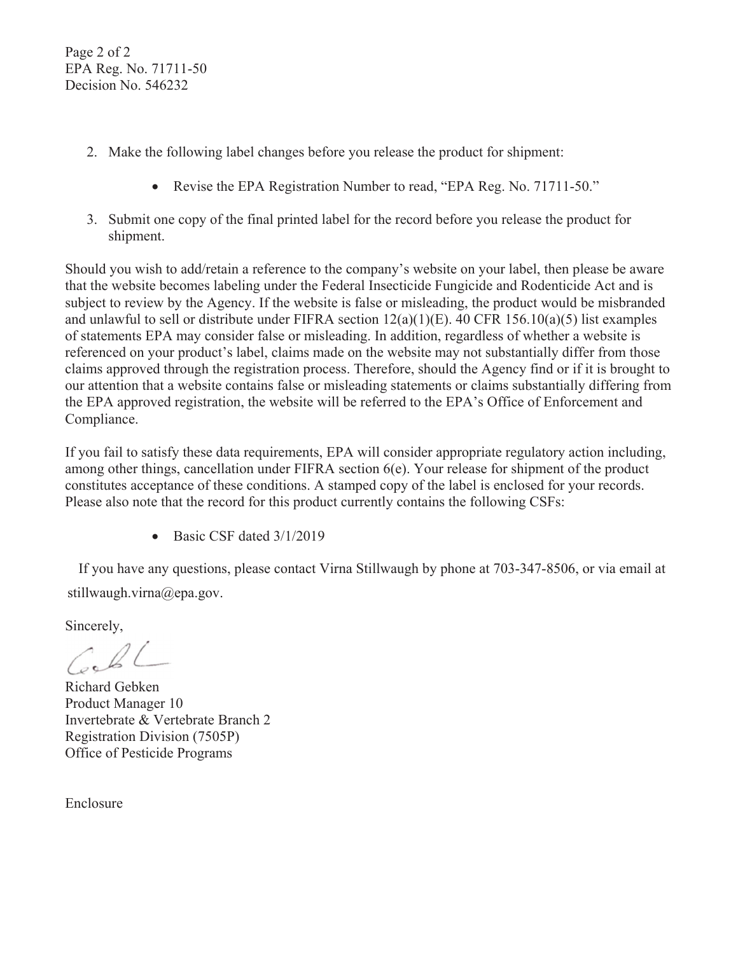Page 2 of 2 EPA Reg. No. 71711-50 Decision No. 546232

- 2. Make the following label changes before you release the product for shipment:
	- Revise the EPA Registration Number to read, "EPA Reg. No. 71711-50."
- 3. Submit one copy of the final printed label for the record before you release the product for shipment.

Should you wish to add/retain a reference to the company's website on your label, then please be aware that the website becomes labeling under the Federal Insecticide Fungicide and Rodenticide Act and is subject to review by the Agency. If the website is false or misleading, the product would be misbranded and unlawful to sell or distribute under FIFRA section  $12(a)(1)(E)$ . 40 CFR  $156.10(a)(5)$  list examples of statements EPA may consider false or misleading. In addition, regardless of whether a website is referenced on your product's label, claims made on the website may not substantially differ from those claims approved through the registration process. Therefore, should the Agency find or if it is brought to our attention that a website contains false or misleading statements or claims substantially differing from the EPA approved registration, the website will be referred to the EPA's Office of Enforcement and Compliance.

If you fail to satisfy these data requirements, EPA will consider appropriate regulatory action including, among other things, cancellation under FIFRA section 6(e). Your release for shipment of the product constitutes acceptance of these conditions. A stamped copy of the label is enclosed for your records. Please also note that the record for this product currently contains the following CSFs:

• Basic CSF dated  $3/1/2019$ 

If you have any questions, please contact Virna Stillwaugh by phone at 703-347-8506, or via email at stillwaugh.virna@epa.gov.

Sincerely.

Richard Gebken Product Manager 10 Invertebrate & Vertebrate Branch 2 **Registration Division (7505P)** Office of Pesticide Programs

Enclosure